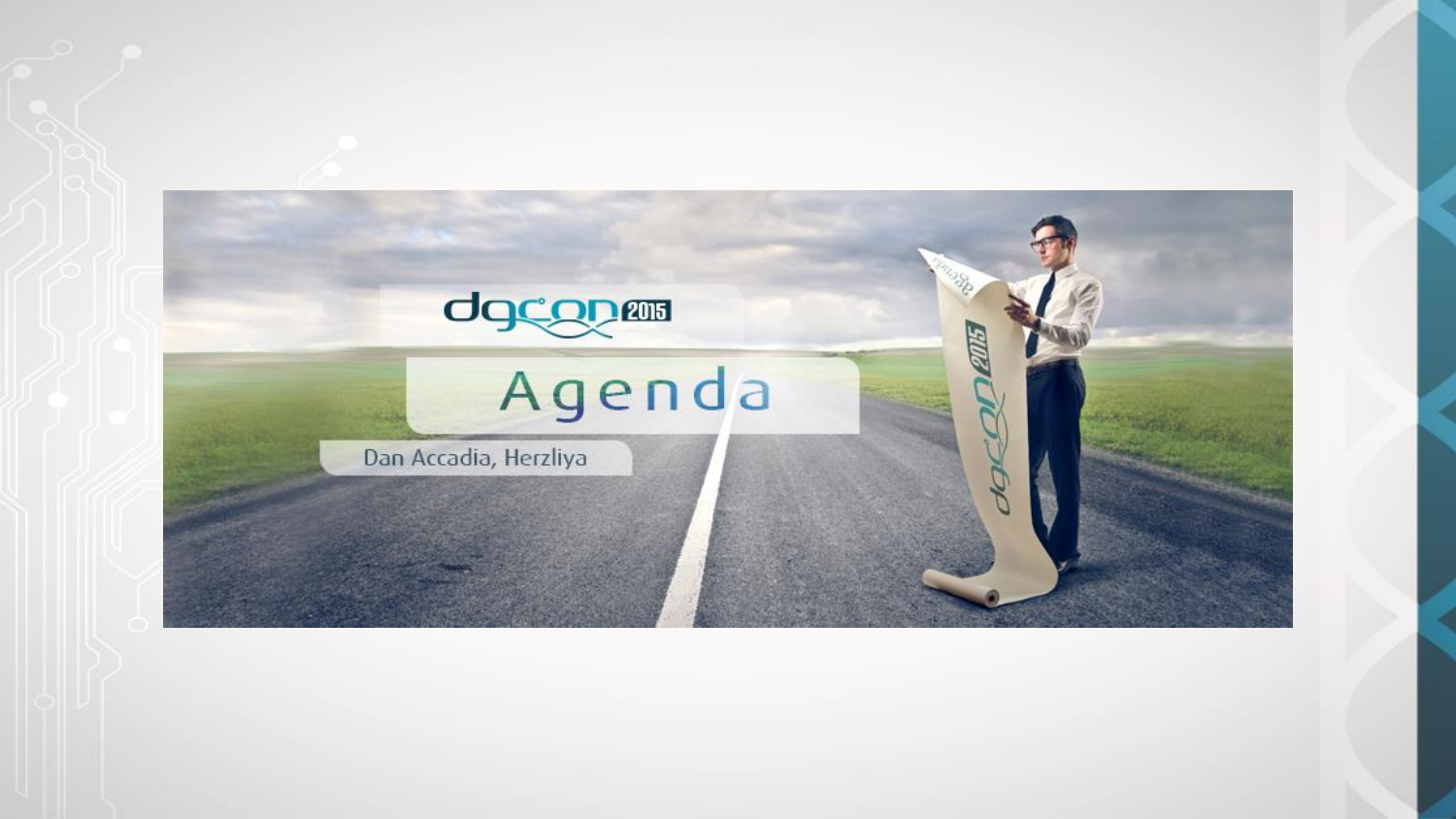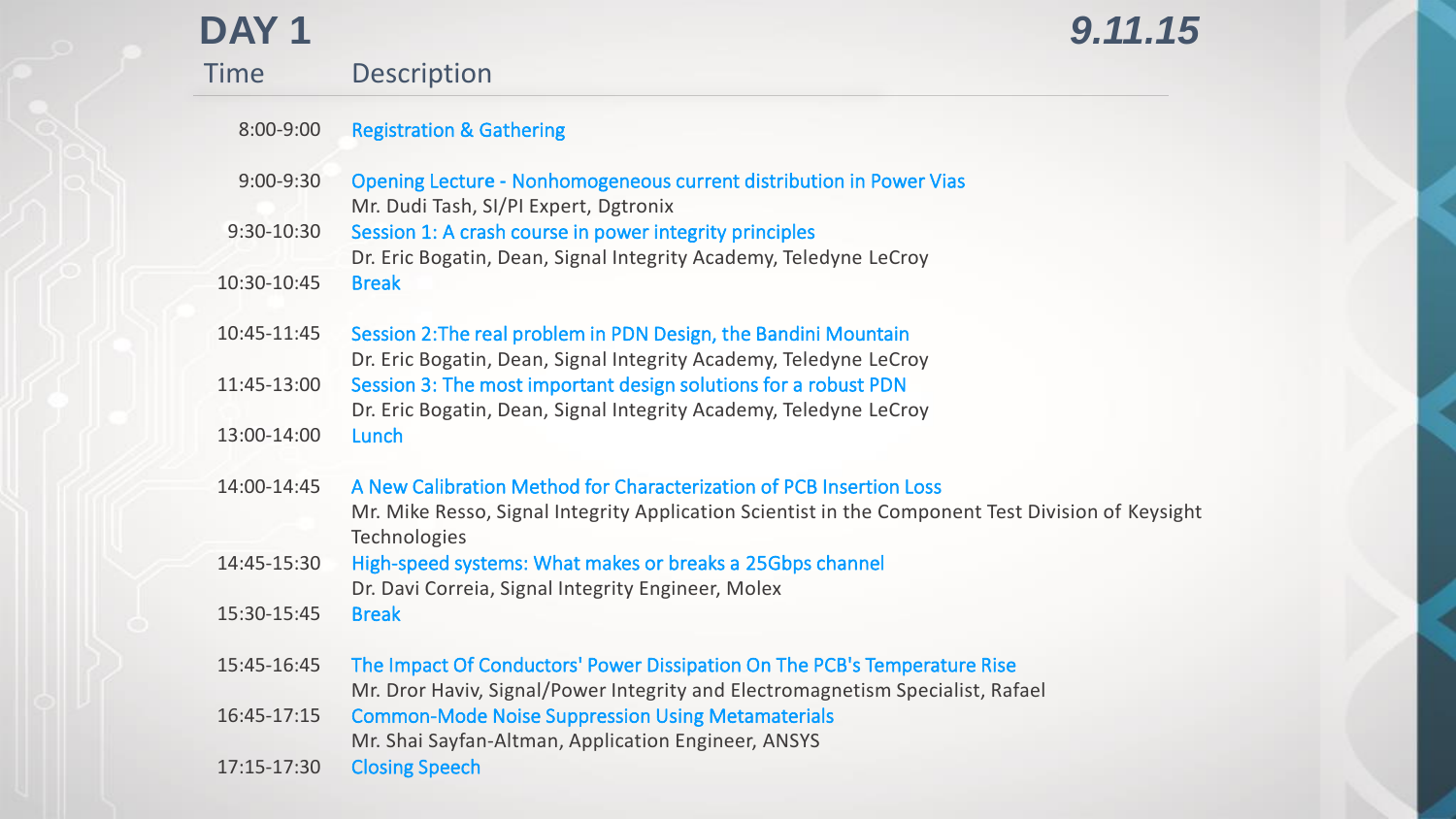| DAY <sub>1</sub> |                                                                                                                                                                                                           | 9.11.15 |
|------------------|-----------------------------------------------------------------------------------------------------------------------------------------------------------------------------------------------------------|---------|
| <b>Time</b>      | <b>Description</b>                                                                                                                                                                                        |         |
| 8:00-9:00        | <b>Registration &amp; Gathering</b>                                                                                                                                                                       |         |
| $9:00 - 9:30$    | Opening Lecture - Nonhomogeneous current distribution in Power Vias<br>Mr. Dudi Tash, SI/PI Expert, Dgtronix                                                                                              |         |
| 9:30-10:30       | Session 1: A crash course in power integrity principles<br>Dr. Eric Bogatin, Dean, Signal Integrity Academy, Teledyne LeCroy                                                                              |         |
| 10:30-10:45      | <b>Break</b>                                                                                                                                                                                              |         |
| 10:45-11:45      | Session 2: The real problem in PDN Design, the Bandini Mountain                                                                                                                                           |         |
| 11:45-13:00      | Dr. Eric Bogatin, Dean, Signal Integrity Academy, Teledyne LeCroy<br>Session 3: The most important design solutions for a robust PDN<br>Dr. Eric Bogatin, Dean, Signal Integrity Academy, Teledyne LeCroy |         |
| 13:00-14:00      | Lunch                                                                                                                                                                                                     |         |
| 14:00-14:45      | A New Calibration Method for Characterization of PCB Insertion Loss<br>Mr. Mike Resso, Signal Integrity Application Scientist in the Component Test Division of Keysight<br>Technologies                  |         |
| 14:45-15:30      | High-speed systems: What makes or breaks a 25Gbps channel<br>Dr. Davi Correia, Signal Integrity Engineer, Molex                                                                                           |         |
| 15:30-15:45      | <b>Break</b>                                                                                                                                                                                              |         |
| 15:45-16:45      | The Impact Of Conductors' Power Dissipation On The PCB's Temperature Rise<br>Mr. Dror Haviv, Signal/Power Integrity and Electromagnetism Specialist, Rafael                                               |         |
| 16:45-17:15      | <b>Common-Mode Noise Suppression Using Metamaterials</b><br>Mr. Shai Sayfan-Altman, Application Engineer, ANSYS                                                                                           |         |
| 17:15-17:30      | <b>Closing Speech</b>                                                                                                                                                                                     |         |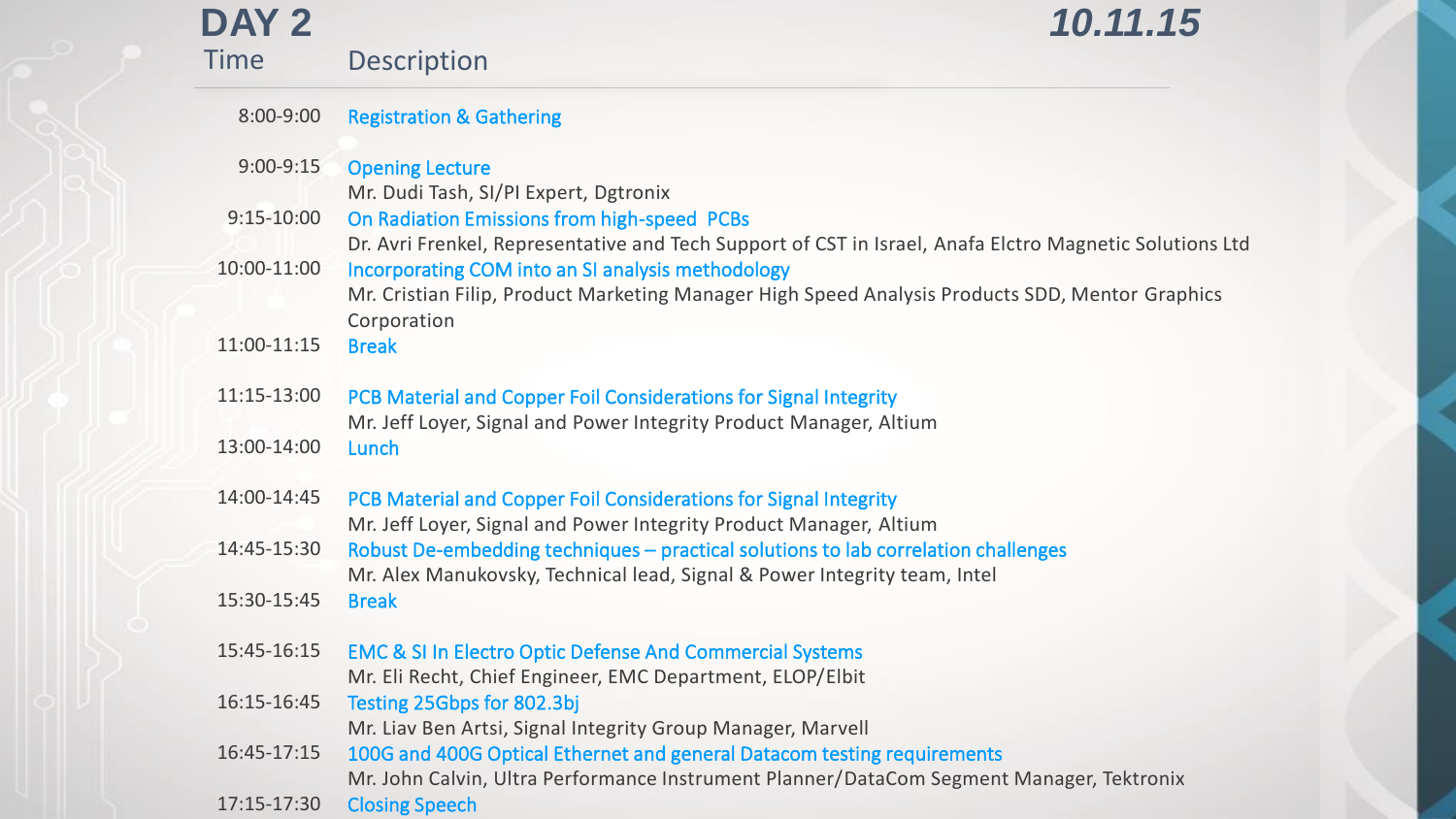| DAY <sub>2</sub> | 10.11.15                                                                                                                                                                                                                              |
|------------------|---------------------------------------------------------------------------------------------------------------------------------------------------------------------------------------------------------------------------------------|
| <b>Time</b>      | <b>Description</b>                                                                                                                                                                                                                    |
| 8:00-9:00        | <b>Registration &amp; Gathering</b>                                                                                                                                                                                                   |
| $9:00 - 9:15$    | <b>Opening Lecture</b>                                                                                                                                                                                                                |
| $9:15-10:00$     | Mr. Dudi Tash, SI/PI Expert, Dgtronix<br>On Radiation Emissions from high-speed PCBs<br>Dr. Avri Frenkel, Representative and Tech Support of CST in Israel, Anafa Elctro Magnetic Solutions Ltd                                       |
| 10:00-11:00      | Incorporating COM into an SI analysis methodology<br>Mr. Cristian Filip, Product Marketing Manager High Speed Analysis Products SDD, Mentor Graphics<br>Corporation                                                                   |
| 11:00-11:15      | <b>Break</b>                                                                                                                                                                                                                          |
| 11:15-13:00      | PCB Material and Copper Foil Considerations for Signal Integrity<br>Mr. Jeff Loyer, Signal and Power Integrity Product Manager, Altium                                                                                                |
| 13:00-14:00      | Lunch                                                                                                                                                                                                                                 |
| 14:00-14:45      | PCB Material and Copper Foil Considerations for Signal Integrity                                                                                                                                                                      |
| 14:45-15:30      | Mr. Jeff Loyer, Signal and Power Integrity Product Manager, Altium<br>Robust De-embedding techniques - practical solutions to lab correlation challenges<br>Mr. Alex Manukovsky, Technical lead, Signal & Power Integrity team, Intel |
| 15:30-15:45      | <b>Break</b>                                                                                                                                                                                                                          |
| 15:45-16:15      | <b>EMC &amp; SI In Electro Optic Defense And Commercial Systems</b><br>Mr. Eli Recht, Chief Engineer, EMC Department, ELOP/Elbit                                                                                                      |
| 16:15-16:45      | Testing 25Gbps for 802.3bj<br>Mr. Liav Ben Artsi, Signal Integrity Group Manager, Marvell                                                                                                                                             |
| 16:45-17:15      | 100G and 400G Optical Ethernet and general Datacom testing requirements<br>Mr. John Calvin, Ultra Performance Instrument Planner/DataCom Segment Manager, Tektronix                                                                   |
| 17:15-17:30      | <b>Closing Speech</b>                                                                                                                                                                                                                 |

Κ

W